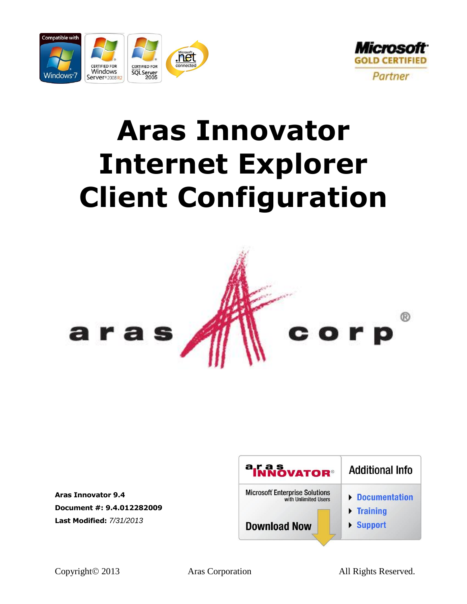



# **Aras Innovator Internet Explorer Client Configuration**



**Aras Innovator 9.4 Document #: 9.4.012282009 Last Modified:** *7/31/2013*

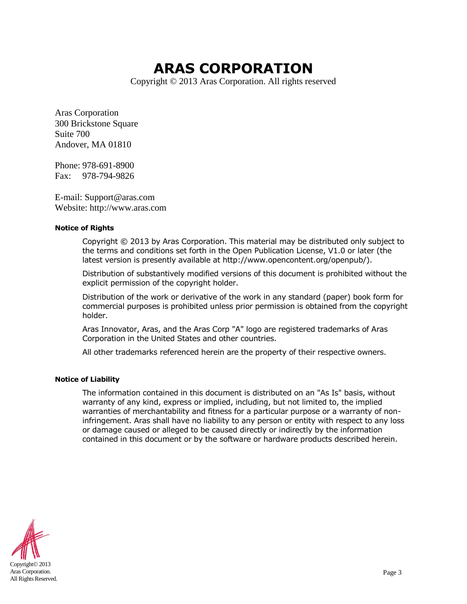# **ARAS CORPORATION**

Copyright © 2013 Aras Corporation. All rights reserved

Aras Corporation 300 Brickstone Square Suite 700 Andover, MA 01810

Phone: 978-691-8900 Fax: 978-794-9826

E-mail: Support@aras.com Website: http://www.aras.com

#### **Notice of Rights**

Copyright © 2013 by Aras Corporation. This material may be distributed only subject to the terms and conditions set forth in the Open Publication License, V1.0 or later (the latest version is presently available at http://www.opencontent.org/openpub/).

Distribution of substantively modified versions of this document is prohibited without the explicit permission of the copyright holder.

Distribution of the work or derivative of the work in any standard (paper) book form for commercial purposes is prohibited unless prior permission is obtained from the copyright holder.

Aras Innovator, Aras, and the Aras Corp "A" logo are registered trademarks of Aras Corporation in the United States and other countries.

All other trademarks referenced herein are the property of their respective owners.

#### **Notice of Liability**

The information contained in this document is distributed on an "As Is" basis, without warranty of any kind, express or implied, including, but not limited to, the implied warranties of merchantability and fitness for a particular purpose or a warranty of noninfringement. Aras shall have no liability to any person or entity with respect to any loss or damage caused or alleged to be caused directly or indirectly by the information contained in this document or by the software or hardware products described herein.

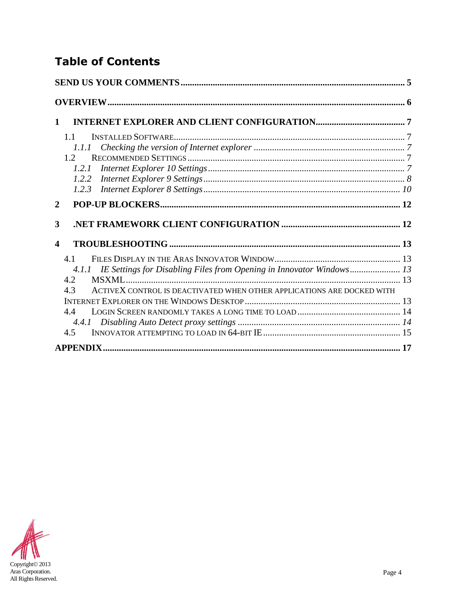### **Table of Contents**

| 1                                                                             |  |
|-------------------------------------------------------------------------------|--|
| 11                                                                            |  |
| 1.1.1                                                                         |  |
| 12 <sub>2</sub>                                                               |  |
| 1.2.1                                                                         |  |
| 1.2.2                                                                         |  |
| 1.2.3                                                                         |  |
| $\mathbf{2}$                                                                  |  |
| 3                                                                             |  |
| 4                                                                             |  |
| 41                                                                            |  |
| 4.1.1 IE Settings for Disabling Files from Opening in Innovator Windows 13    |  |
| 4.2                                                                           |  |
| ACTIVEX CONTROL IS DEACTIVATED WHEN OTHER APPLICATIONS ARE DOCKED WITH<br>4.3 |  |
|                                                                               |  |
| 4.4                                                                           |  |
|                                                                               |  |
| 4.5                                                                           |  |
|                                                                               |  |

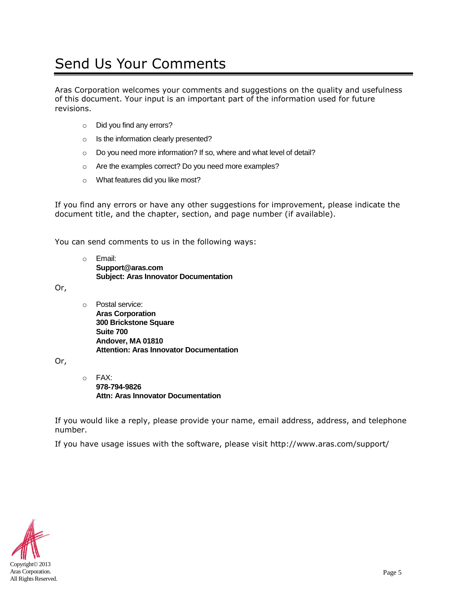# <span id="page-3-0"></span>Send Us Your Comments

Aras Corporation welcomes your comments and suggestions on the quality and usefulness of this document. Your input is an important part of the information used for future revisions.

- o Did you find any errors?
- o Is the information clearly presented?
- o Do you need more information? If so, where and what level of detail?
- o Are the examples correct? Do you need more examples?
- o What features did you like most?

If you find any errors or have any other suggestions for improvement, please indicate the document title, and the chapter, section, and page number (if available).

You can send comments to us in the following ways:

o Email: **Support@aras.com Subject: Aras Innovator Documentation**

Or,

o Postal service: **Aras Corporation 300 Brickstone Square Suite 700 Andover, MA 01810 Attention: Aras Innovator Documentation**

Or,

o FAX: **978-794-9826 Attn: Aras Innovator Documentation**

If you would like a reply, please provide your name, email address, address, and telephone number.

If you have usage issues with the software, please visit http://www.aras.com/support/

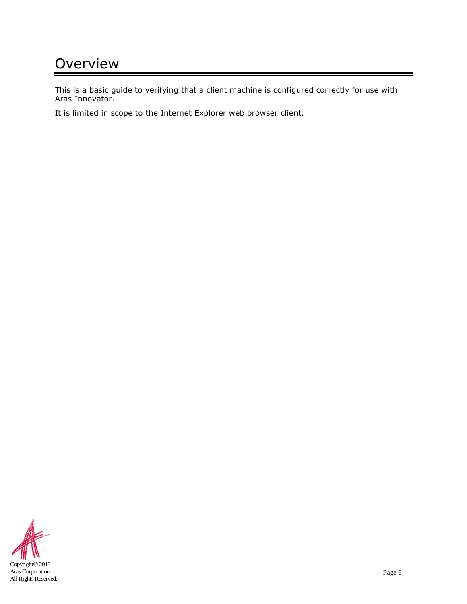# <span id="page-4-0"></span>**Overview**

This is a basic guide to verifying that a client machine is configured correctly for use with Aras Innovator.

It is limited in scope to the Internet Explorer web browser client.

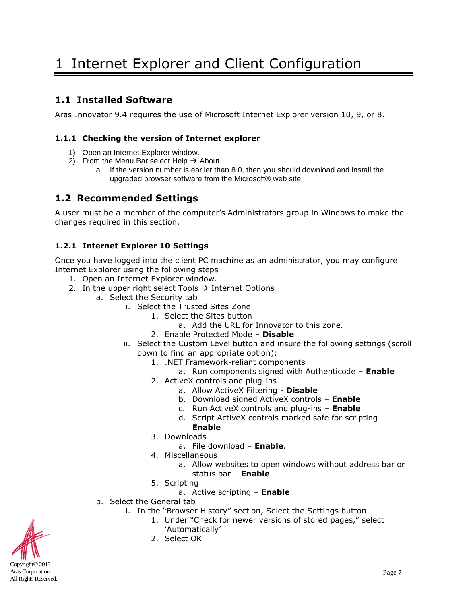### <span id="page-5-1"></span><span id="page-5-0"></span>**1.1 Installed Software**

Aras Innovator 9.4 requires the use of Microsoft Internet Explorer version 10, 9, or 8.

### <span id="page-5-2"></span>**1.1.1 Checking the version of Internet explorer**

- 1) Open an Internet Explorer window.
- 2) From the Menu Bar select Help  $\rightarrow$  About
	- a. If the version number is earlier than 8.0, then you should download and install the upgraded browser software from the Microsoft® web site.

### <span id="page-5-3"></span>**1.2 Recommended Settings**

A user must be a member of the computer's Administrators group in Windows to make the changes required in this section.

### <span id="page-5-4"></span>**1.2.1 Internet Explorer 10 Settings**

Once you have logged into the client PC machine as an administrator, you may configure Internet Explorer using the following steps

- 1. Open an Internet Explorer window.
- 2. In the upper right select Tools  $\rightarrow$  Internet Options
	- a. Select the Security tab
		- i. Select the Trusted Sites Zone
			- 1. Select the Sites button
				- a. Add the URL for Innovator to this zone.
			- 2. Enable Protected Mode **Disable**
		- ii. Select the Custom Level button and insure the following settings (scroll down to find an appropriate option):
			- 1. .NET Framework-reliant components
				- a. Run components signed with Authenticode **Enable**
			- 2. ActiveX controls and plug-ins
				- a. Allow ActiveX Filtering **Disable**
				- b. Download signed ActiveX controls **Enable**
				- c. Run ActiveX controls and plug-ins **Enable**
				- d. Script ActiveX controls marked safe for scripting **Enable**
			- 3. Downloads
				- a. File download **Enable**.
			- 4. Miscellaneous
				- a. Allow websites to open windows without address bar or status bar – **Enable**
			- 5. Scripting
				- a. Active scripting **Enable**
		- b. Select the General tab
			- i. In the "Browser History" section, Select the Settings button
				- 1. Under "Check for newer versions of stored pages," select 'Automatically'
					-
				- 2. Select OK

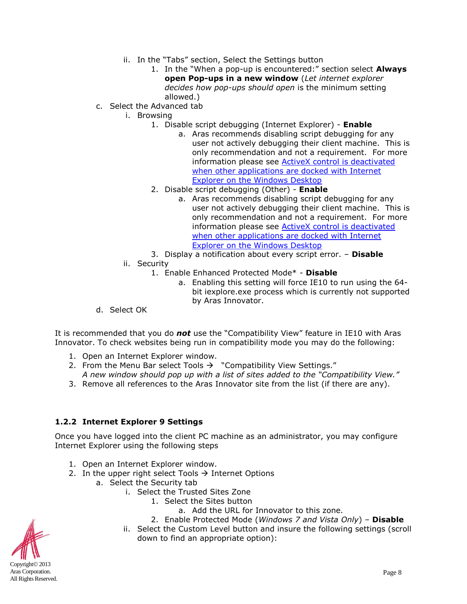- ii. In the "Tabs" section, Select the Settings button
	- 1. In the "When a pop-up is encountered:" section select **Always open Pop-ups in a new window** (*Let internet explorer decides how pop-ups should open* is the minimum setting allowed.)
- c. Select the Advanced tab
	- i. Browsing
		- 1. Disable script debugging (Internet Explorer) **Enable**
			- a. Aras recommends disabling script debugging for any user not actively debugging their client machine. This is only recommendation and not a requirement. For more information please see **ActiveX** control is deactivated [when other applications are docked with Internet](#page-11-4)  [Explorer on the Windows Desktop](#page-11-4)
		- 2. Disable script debugging (Other) **Enable**
			- a. Aras recommends disabling script debugging for any user not actively debugging their client machine. This is only recommendation and not a requirement. For more information please see **ActiveX** control is deactivated [when other applications are docked with Internet](#page-11-4)  [Explorer on the Windows Desktop](#page-11-4)
		- 3. Display a notification about every script error. **Disable**
	- ii. Security
		- 1. Enable Enhanced Protected Mode\* **Disable**
			- a. Enabling this setting will force IE10 to run using the 64 bit iexplore.exe process which is currently not supported by Aras Innovator.
- d. Select OK

It is recommended that you do *not* use the "Compatibility View" feature in IE10 with Aras Innovator. To check websites being run in compatibility mode you may do the following:

- 1. Open an Internet Explorer window.
- 2. From the Menu Bar select Tools  $\rightarrow$  "Compatibility View Settings." *A new window should pop up with a list of sites added to the "Compatibility View."*
- 3. Remove all references to the Aras Innovator site from the list (if there are any).

#### <span id="page-6-0"></span>**1.2.2 Internet Explorer 9 Settings**

Once you have logged into the client PC machine as an administrator, you may configure Internet Explorer using the following steps

- 1. Open an Internet Explorer window.
- 2. In the upper right select Tools  $\rightarrow$  Internet Options
	- a. Select the Security tab
		- i. Select the Trusted Sites Zone
			- 1. Select the Sites button
				- a. Add the URL for Innovator to this zone.
			- 2. Enable Protected Mode (*Windows 7 and Vista Only*) **Disable**
		- ii. Select the Custom Level button and insure the following settings (scroll down to find an appropriate option):

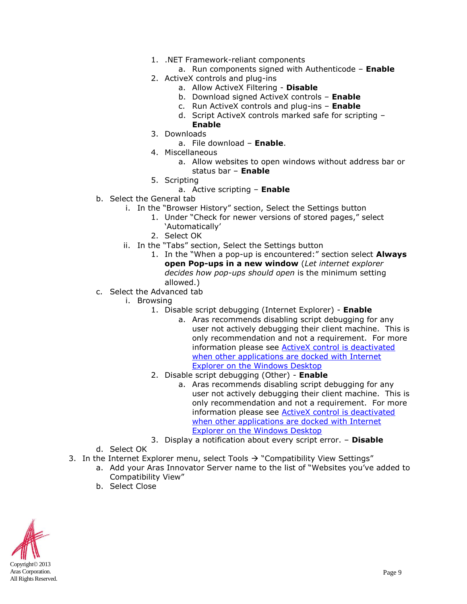- 1. .NET Framework-reliant components
	- a. Run components signed with Authenticode **Enable**
- 2. ActiveX controls and plug-ins
	- a. Allow ActiveX Filtering **Disable**
	- b. Download signed ActiveX controls **Enable**
	- c. Run ActiveX controls and plug-ins **Enable**
	- d. Script ActiveX controls marked safe for scripting **Enable**
- 3. Downloads
	- a. File download **Enable**.
- 4. Miscellaneous
	- a. Allow websites to open windows without address bar or status bar – **Enable**
- 5. Scripting
	- a. Active scripting **Enable**
- b. Select the General tab
	- i. In the "Browser History" section, Select the Settings button
		- 1. Under "Check for newer versions of stored pages," select 'Automatically'
		- 2. Select OK
	- ii. In the "Tabs" section, Select the Settings button
		- 1. In the "When a pop-up is encountered:" section select **Always open Pop-ups in a new window** (*Let internet explorer decides how pop-ups should open* is the minimum setting allowed.)
- c. Select the Advanced tab
	- i. Browsing
		- 1. Disable script debugging (Internet Explorer) **Enable**
			- a. Aras recommends disabling script debugging for any user not actively debugging their client machine. This is only recommendation and not a requirement. For more information please see [ActiveX control is deactivated](#page-11-4)  [when other applications are docked with Internet](#page-11-4)  [Explorer on the Windows Desktop](#page-11-4)
		- 2. Disable script debugging (Other) **Enable**
			- a. Aras recommends disabling script debugging for any user not actively debugging their client machine. This is only recommendation and not a requirement. For more information please see [ActiveX control is deactivated](#page-11-4)  when other applications are docked with Internet [Explorer on the Windows Desktop](#page-11-4)
		- 3. Display a notification about every script error. **Disable**
- d. Select OK
- 3. In the Internet Explorer menu, select Tools  $\rightarrow$  "Compatibility View Settings"
	- a. Add your Aras Innovator Server name to the list of "Websites you've added to Compatibility View"
	- b. Select Close

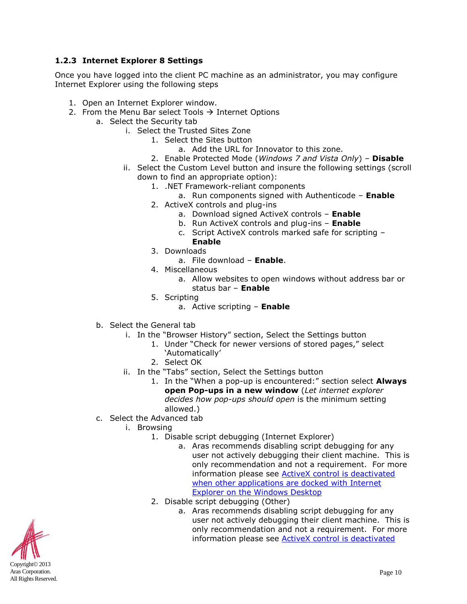### <span id="page-8-0"></span>**1.2.3 Internet Explorer 8 Settings**

Once you have logged into the client PC machine as an administrator, you may configure Internet Explorer using the following steps

- 1. Open an Internet Explorer window.
- 2. From the Menu Bar select Tools  $\rightarrow$  Internet Options
	- a. Select the Security tab
		- i. Select the Trusted Sites Zone
			- 1. Select the Sites button
				- a. Add the URL for Innovator to this zone.
			- 2. Enable Protected Mode (*Windows 7 and Vista Only*) **Disable**
		- ii. Select the Custom Level button and insure the following settings (scroll down to find an appropriate option):
			- 1. .NET Framework-reliant components
				- a. Run components signed with Authenticode **Enable**
			- 2. ActiveX controls and plug-ins
				- a. Download signed ActiveX controls **Enable**
				- b. Run ActiveX controls and plug-ins **Enable**
				- c. Script ActiveX controls marked safe for scripting **Enable**
			- 3. Downloads
				- a. File download **Enable**.
			- 4. Miscellaneous
				- a. Allow websites to open windows without address bar or status bar – **Enable**
			- 5. Scripting
				- a. Active scripting **Enable**
		- b. Select the General tab
			- i. In the "Browser History" section, Select the Settings button
				- 1. Under "Check for newer versions of stored pages," select 'Automatically'
				- 2. Select OK
			- ii. In the "Tabs" section, Select the Settings button
				- 1. In the "When a pop-up is encountered:" section select **Always open Pop-ups in a new window** (*Let internet explorer decides how pop-ups should open* is the minimum setting allowed.)
	- c. Select the Advanced tab
		- i. Browsing
			- 1. Disable script debugging (Internet Explorer)
				- a. Aras recommends disabling script debugging for any user not actively debugging their client machine. This is only recommendation and not a requirement. For more information please see **ActiveX** control is deactivated [when other applications are docked](#page-11-4) with Internet [Explorer on the Windows Desktop](#page-11-4)
			- 2. Disable script debugging (Other)
				- a. Aras recommends disabling script debugging for any user not actively debugging their client machine. This is only recommendation and not a requirement. For more information please see **ActiveX** control is deactivated

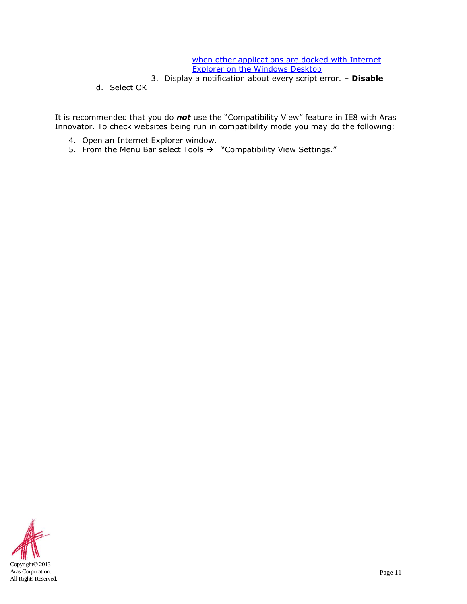#### when other applications are docked with Internet [Explorer on the Windows Desktop](#page-11-4)

- 3. Display a notification about every script error. **Disable**
- d. Select OK

It is recommended that you do *not* use the "Compatibility View" feature in IE8 with Aras Innovator. To check websites being run in compatibility mode you may do the following:

- 4. Open an Internet Explorer window.
- 5. From the Menu Bar select Tools  $\rightarrow$  "Compatibility View Settings."

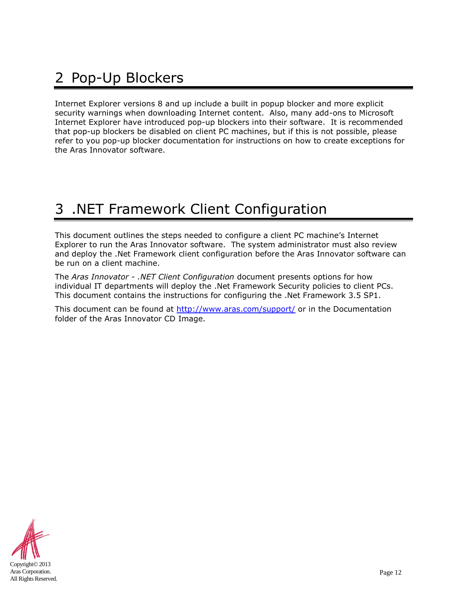# <span id="page-10-0"></span>2 Pop-Up Blockers

Internet Explorer versions 8 and up include a built in popup blocker and more explicit security warnings when downloading Internet content. Also, many add-ons to Microsoft Internet Explorer have introduced pop-up blockers into their software. It is recommended that pop-up blockers be disabled on client PC machines, but if this is not possible, please refer to you pop-up blocker documentation for instructions on how to create exceptions for the Aras Innovator software.

# <span id="page-10-1"></span>3 .NET Framework Client Configuration

This document outlines the steps needed to configure a client PC machine's Internet Explorer to run the Aras Innovator software. The system administrator must also review and deploy the .Net Framework client configuration before the Aras Innovator software can be run on a client machine.

The *Aras Innovator - .NET Client Configuration* document presents options for how individual IT departments will deploy the .Net Framework Security policies to client PCs. This document contains the instructions for configuring the .Net Framework 3.5 SP1.

This document can be found at<http://www.aras.com/support/> or in the Documentation folder of the Aras Innovator CD Image.

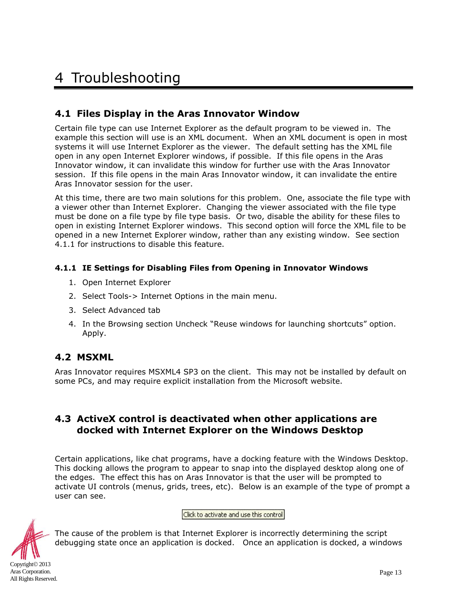# <span id="page-11-0"></span>4 Troubleshooting

### <span id="page-11-1"></span>**4.1 Files Display in the Aras Innovator Window**

Certain file type can use Internet Explorer as the default program to be viewed in. The example this section will use is an XML document. When an XML document is open in most systems it will use Internet Explorer as the viewer. The default setting has the XML file open in any open Internet Explorer windows, if possible. If this file opens in the Aras Innovator window, it can invalidate this window for further use with the Aras Innovator session. If this file opens in the main Aras Innovator window, it can invalidate the entire Aras Innovator session for the user.

At this time, there are two main solutions for this problem. One, associate the file type with a viewer other than Internet Explorer. Changing the viewer associated with the file type must be done on a file type by file type basis. Or two, disable the ability for these files to open in existing Internet Explorer windows. This second option will force the XML file to be opened in a new Internet Explorer window, rather than any existing window. See section 4.1.1 for instructions to disable this feature.

### <span id="page-11-2"></span>**4.1.1 IE Settings for Disabling Files from Opening in Innovator Windows**

- 1. Open Internet Explorer
- 2. Select Tools-> Internet Options in the main menu.
- 3. Select Advanced tab
- 4. In the Browsing section Uncheck "Reuse windows for launching shortcuts" option. Apply.

### <span id="page-11-3"></span>**4.2 MSXML**

Aras Innovator requires MSXML4 SP3 on the client. This may not be installed by default on some PCs, and may require explicit installation from the Microsoft website.

### <span id="page-11-4"></span>**4.3 ActiveX control is deactivated when other applications are docked with Internet Explorer on the Windows Desktop**

Certain applications, like chat programs, have a docking feature with the Windows Desktop. This docking allows the program to appear to snap into the displayed desktop along one of the edges. The effect this has on Aras Innovator is that the user will be prompted to activate UI controls (menus, grids, trees, etc). Below is an example of the type of prompt a user can see.

Click to activate and use this control



Aras Corporation. All Rights Reserved.

The cause of the problem is that Internet Explorer is incorrectly determining the script debugging state once an application is docked. Once an application is docked, a windows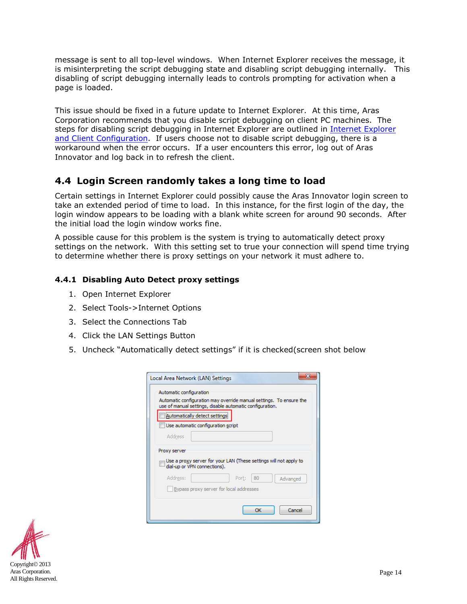message is sent to all top-level windows. When Internet Explorer receives the message, it is misinterpreting the script debugging state and disabling script debugging internally. This disabling of script debugging internally leads to controls prompting for activation when a page is loaded.

This issue should be fixed in a future update to Internet Explorer. At this time, Aras Corporation recommends that you disable script debugging on client PC machines. The steps for disabling script debugging in [Internet Explorer](#page-5-0) are outlined in Internet Explorer [and Client Configuration.](#page-5-0) If users choose not to disable script debugging, there is a workaround when the error occurs. If a user encounters this error, log out of Aras Innovator and log back in to refresh the client.

### <span id="page-12-0"></span>**4.4 Login Screen randomly takes a long time to load**

Certain settings in Internet Explorer could possibly cause the Aras Innovator login screen to take an extended period of time to load. In this instance, for the first login of the day, the login window appears to be loading with a blank white screen for around 90 seconds. After the initial load the login window works fine.

A possible cause for this problem is the system is trying to automatically detect proxy settings on the network. With this setting set to true your connection will spend time trying to determine whether there is proxy settings on your network it must adhere to.

### <span id="page-12-1"></span>**4.4.1 Disabling Auto Detect proxy settings**

- 1. Open Internet Explorer
- 2. Select Tools->Internet Options
- 3. Select the Connections Tab
- 4. Click the LAN Settings Button
- 5. Uncheck "Automatically detect settings" if it is checked(screen shot below

| Local Area Network (LAN) Settings                                                                                               |  |  |  |  |  |  |  |
|---------------------------------------------------------------------------------------------------------------------------------|--|--|--|--|--|--|--|
| Automatic configuration                                                                                                         |  |  |  |  |  |  |  |
| Automatic configuration may override manual settings. To ensure the<br>use of manual settings, disable automatic configuration. |  |  |  |  |  |  |  |
| Automatically detect settings                                                                                                   |  |  |  |  |  |  |  |
| Use automatic configuration script                                                                                              |  |  |  |  |  |  |  |
| Address                                                                                                                         |  |  |  |  |  |  |  |
| Proxy server                                                                                                                    |  |  |  |  |  |  |  |
| Use a proxy server for your LAN (These settings will not apply to<br>dial-up or VPN connections).                               |  |  |  |  |  |  |  |
| Address:<br>80<br>Port:<br>Advanced                                                                                             |  |  |  |  |  |  |  |
| Bypass proxy server for local addresses                                                                                         |  |  |  |  |  |  |  |
|                                                                                                                                 |  |  |  |  |  |  |  |
| Cancel<br>OK                                                                                                                    |  |  |  |  |  |  |  |

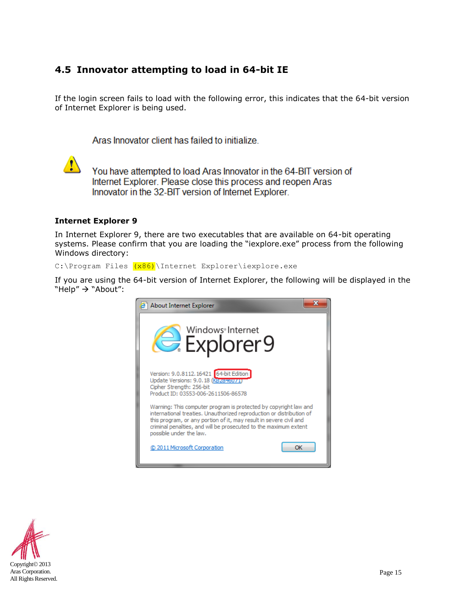### <span id="page-13-0"></span>**4.5 Innovator attempting to load in 64-bit IE**

If the login screen fails to load with the following error, this indicates that the 64-bit version of Internet Explorer is being used.

Aras Innovator client has failed to initialize.



You have attempted to load Aras Innovator in the 64-BIT version of Internet Explorer. Please close this process and reopen Aras Innovator in the 32-BIT version of Internet Explorer.

#### **Internet Explorer 9**

In Internet Explorer 9, there are two executables that are available on 64-bit operating systems. Please confirm that you are loading the "iexplore.exe" process from the following Windows directory:

C:\Program Files (x86)\Internet Explorer\iexplore.exe

If you are using the 64-bit version of Internet Explorer, the following will be displayed in the "Help"  $\rightarrow$  "About":



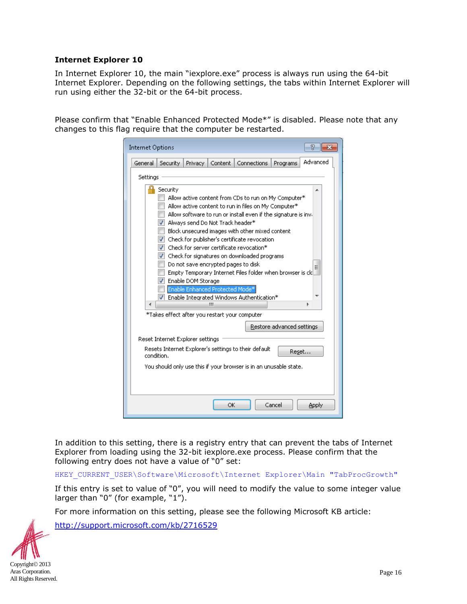#### **Internet Explorer 10**

In Internet Explorer 10, the main "iexplore.exe" process is always run using the 64-bit Internet Explorer. Depending on the following settings, the tabs within Internet Explorer will run using either the 32-bit or the 64-bit process.

Please confirm that "Enable Enhanced Protected Mode\*" is disabled. Please note that any changes to this flag require that the computer be restarted.

| <b>Internet Options</b>                                                                                                                                                                                                                                                                                                                                                                                                                                                                                                                                                                                                                                              |          |         |         |                    |          | R        |  |  |
|----------------------------------------------------------------------------------------------------------------------------------------------------------------------------------------------------------------------------------------------------------------------------------------------------------------------------------------------------------------------------------------------------------------------------------------------------------------------------------------------------------------------------------------------------------------------------------------------------------------------------------------------------------------------|----------|---------|---------|--------------------|----------|----------|--|--|
| General                                                                                                                                                                                                                                                                                                                                                                                                                                                                                                                                                                                                                                                              | Security | Privacy | Content | <b>Connections</b> | Programs | Advanced |  |  |
| Settings                                                                                                                                                                                                                                                                                                                                                                                                                                                                                                                                                                                                                                                             |          |         |         |                    |          |          |  |  |
| Security<br>▲<br>Allow active content from CDs to run on My Computer*<br>Allow active content to run in files on My Computer*<br>Allow software to run or install even if the signature is inv.<br>M Always send Do Not Track header*<br>Block unsecured images with other mixed content<br>T Check for publisher's certificate revocation<br>Check for server certificate revocation*<br><b>V</b> Check for signatures on downloaded programs<br>Do not save encrypted pages to disk<br>Ξ<br>Empty Temporary Internet Files folder when browser is cld<br>Enable DOM Storage<br>✓<br>Enable Enhanced Protected Mode*<br>T Enable Integrated Windows Authentication* |          |         |         |                    |          |          |  |  |
| Ш<br>∢<br>Þ<br>*Takes effect after you restart your computer                                                                                                                                                                                                                                                                                                                                                                                                                                                                                                                                                                                                         |          |         |         |                    |          |          |  |  |
| Restore advanced settings                                                                                                                                                                                                                                                                                                                                                                                                                                                                                                                                                                                                                                            |          |         |         |                    |          |          |  |  |
| Reset Internet Explorer settings                                                                                                                                                                                                                                                                                                                                                                                                                                                                                                                                                                                                                                     |          |         |         |                    |          |          |  |  |
| Resets Internet Explorer's settings to their default<br>Reset<br>condition.                                                                                                                                                                                                                                                                                                                                                                                                                                                                                                                                                                                          |          |         |         |                    |          |          |  |  |
| You should only use this if your browser is in an unusable state.                                                                                                                                                                                                                                                                                                                                                                                                                                                                                                                                                                                                    |          |         |         |                    |          |          |  |  |
| OK<br>Cancel<br>Apply                                                                                                                                                                                                                                                                                                                                                                                                                                                                                                                                                                                                                                                |          |         |         |                    |          |          |  |  |

In addition to this setting, there is a registry entry that can prevent the tabs of Internet Explorer from loading using the 32-bit iexplore.exe process. Please confirm that the following entry does not have a value of "0" set:

HKEY\_CURRENT\_USER\Software\Microsoft\Internet Explorer\Main "TabProcGrowth"

If this entry is set to value of "0", you will need to modify the value to some integer value larger than "0" (for example, "1").

For more information on this setting, please see the following Microsoft KB article:

<http://support.microsoft.com/kb/2716529>